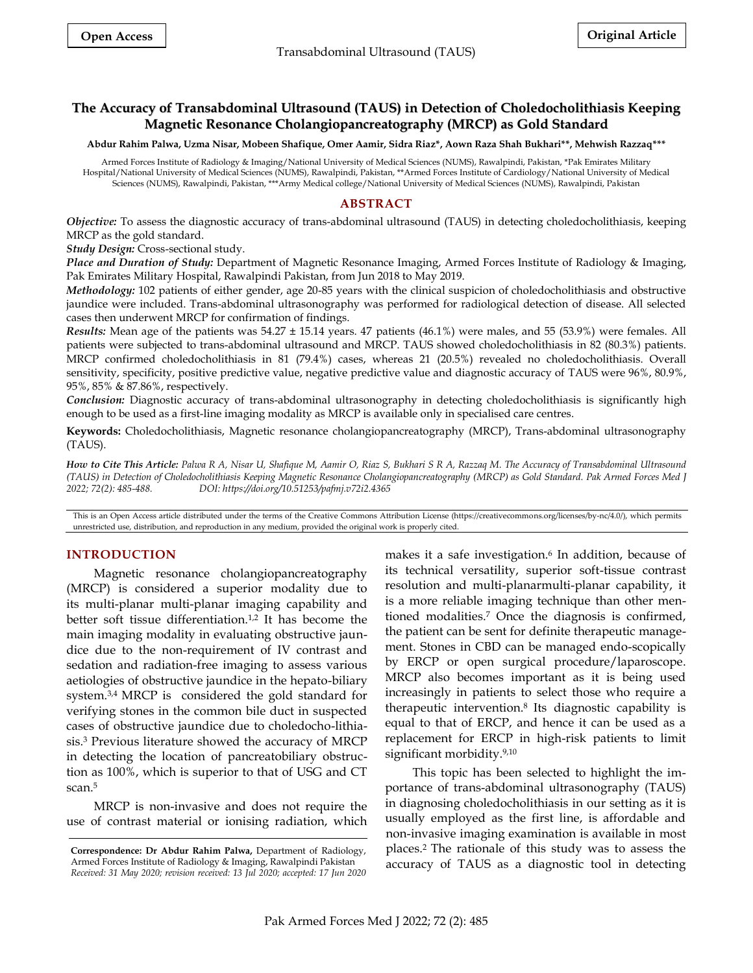# **The Accuracy of Transabdominal Ultrasound (TAUS) in Detection of Choledocholithiasis Keeping Magnetic Resonance Cholangiopancreatography (MRCP) as Gold Standard**

**Abdur Rahim Palwa, Uzma Nisar, Mobeen Shafique, Omer Aamir, Sidra Riaz\*, Aown Raza Shah Bukhari\*\*, Mehwish Razzaq\*\*\***

Armed Forces Institute of Radiology & Imaging/National University of Medical Sciences (NUMS), Rawalpindi, Pakistan, [\\*Pak Emirates Military](https://www.google.com/search?rlz=1C1BNSD_enPK985PK985&sxsrf=APq-WBtPCHX2p8bYf7Jyc0f0fOV90hROkg:1650602369949&q=Pak+Emirates+Military+Hospital+(PEMH)&ludocid=16023206678228965399&gsas=1&lsig=AB86z5Wp8OKPyEpS4MdzzRAHNoHz&sa=X&ved=2ahUKEwitj7T_7Kb3AhWnx4UKHT8WBPoQ8G0oAHoECFcQAQ)  [Hospital/](https://www.google.com/search?rlz=1C1BNSD_enPK985PK985&sxsrf=APq-WBtPCHX2p8bYf7Jyc0f0fOV90hROkg:1650602369949&q=Pak+Emirates+Military+Hospital+(PEMH)&ludocid=16023206678228965399&gsas=1&lsig=AB86z5Wp8OKPyEpS4MdzzRAHNoHz&sa=X&ved=2ahUKEwitj7T_7Kb3AhWnx4UKHT8WBPoQ8G0oAHoECFcQAQ)National University of Medical Sciences (NUMS), Rawalpindi, Pakistan, \*\*Armed Forces Institute of Cardiology/National University of Medical Sciences (NUMS), Rawalpindi, Pakistan, \*\*\*Army Medical college/National University of Medical Sciences (NUMS), Rawalpindi, Pakistan

# **ABSTRACT**

*Objective:* To assess the diagnostic accuracy of trans-abdominal ultrasound (TAUS) in detecting choledocholithiasis, keeping MRCP as the gold standard.

*Study Design:* Cross-sectional study.

*Place and Duration of Study:* Department of Magnetic Resonance Imaging, Armed Forces Institute of Radiology & Imaging, Pak Emirates Military Hospital, Rawalpindi Pakistan, from Jun 2018 to May 2019.

*Methodology:* 102 patients of either gender, age 20-85 years with the clinical suspicion of choledocholithiasis and obstructive jaundice were included. Trans-abdominal ultrasonography was performed for radiological detection of disease. All selected cases then underwent MRCP for confirmation of findings.

*Results:* Mean age of the patients was 54.27 ± 15.14 years. 47 patients (46.1%) were males, and 55 (53.9%) were females. All patients were subjected to trans-abdominal ultrasound and MRCP. TAUS showed choledocholithiasis in 82 (80.3%) patients. MRCP confirmed choledocholithiasis in 81 (79.4%) cases, whereas 21 (20.5%) revealed no choledocholithiasis. Overall sensitivity, specificity, positive predictive value, negative predictive value and diagnostic accuracy of TAUS were 96%, 80.9%, 95%, 85% & 87.86%, respectively.

*Conclusion:* Diagnostic accuracy of trans-abdominal ultrasonography in detecting choledocholithiasis is significantly high enough to be used as a first-line imaging modality as MRCP is available only in specialised care centres.

**Keywords:** Choledocholithiasis, Magnetic resonance cholangiopancreatography (MRCP), Trans-abdominal ultrasonography (TAUS).

*How to Cite This Article: Palwa R A, Nisar U, Shafique M, Aamir O, Riaz S, Bukhari S R A, Razzaq M. The Accuracy of Transabdominal Ultrasound (TAUS) in Detection of Choledocholithiasis Keeping Magnetic Resonance Cholangiopancreatography (MRCP) as Gold Standard. Pak Armed Forces Med J 2022; 72(2): 485-488. DOI: https://doi.org/10.51253/pafmj.v72i2.4365*

This is an Open Access article distributed under the terms of the Creative Commons Attribution License (https://creativecommons.org/licenses/by-nc/4.0/), which permits unrestricted use, distribution, and reproduction in any medium, provided the original work is properly cited.

## **INTRODUCTION**

Magnetic resonance cholangiopancreatography (MRCP) is considered a superior modality due to its multi-planar multi-planar imaging capability and better soft tissue differentiation.<sup>1,2</sup> It has become the main imaging modality in evaluating obstructive jaundice due to the non-requirement of IV contrast and sedation and radiation-free imaging to assess various aetiologies of obstructive jaundice in the hepato-biliary system. 3,4 MRCP is considered the gold standard for verifying stones in the common bile duct in suspected cases of obstructive jaundice due to choledocho-lithiasis. <sup>3</sup> Previous literature showed the accuracy of MRCP in detecting the location of pancreatobiliary obstruction as 100%, which is superior to that of USG and CT scan. 5

MRCP is non-invasive and does not require the use of contrast material or ionising radiation, which

makes it a safe investigation.<sup>6</sup> In addition, because of its technical versatility, superior soft-tissue contrast resolution and multi-planarmulti-planar capability, it is a more reliable imaging technique than other mentioned modalities.<sup>7</sup> Once the diagnosis is confirmed, the patient can be sent for definite therapeutic management. Stones in CBD can be managed endo-scopically by ERCP or open surgical procedure/laparoscope. MRCP also becomes important as it is being used increasingly in patients to select those who require a therapeutic intervention.<sup>8</sup> Its diagnostic capability is equal to that of ERCP, and hence it can be used as a replacement for ERCP in high-risk patients to limit significant morbidity. 9,10

This topic has been selected to highlight the importance of trans-abdominal ultrasonography (TAUS) in diagnosing choledocholithiasis in our setting as it is usually employed as the first line, is affordable and non-invasive imaging examination is available in most places.<sup>2</sup> The rationale of this study was to assess the accuracy of TAUS as a diagnostic tool in detecting

**Correspondence: Dr Abdur Rahim Palwa,** Department of Radiology, Armed Forces Institute of Radiology & Imaging, Rawalpindi Pakistan *Received: 31 May 2020; revision received: 13 Jul 2020; accepted: 17 Jun 2020*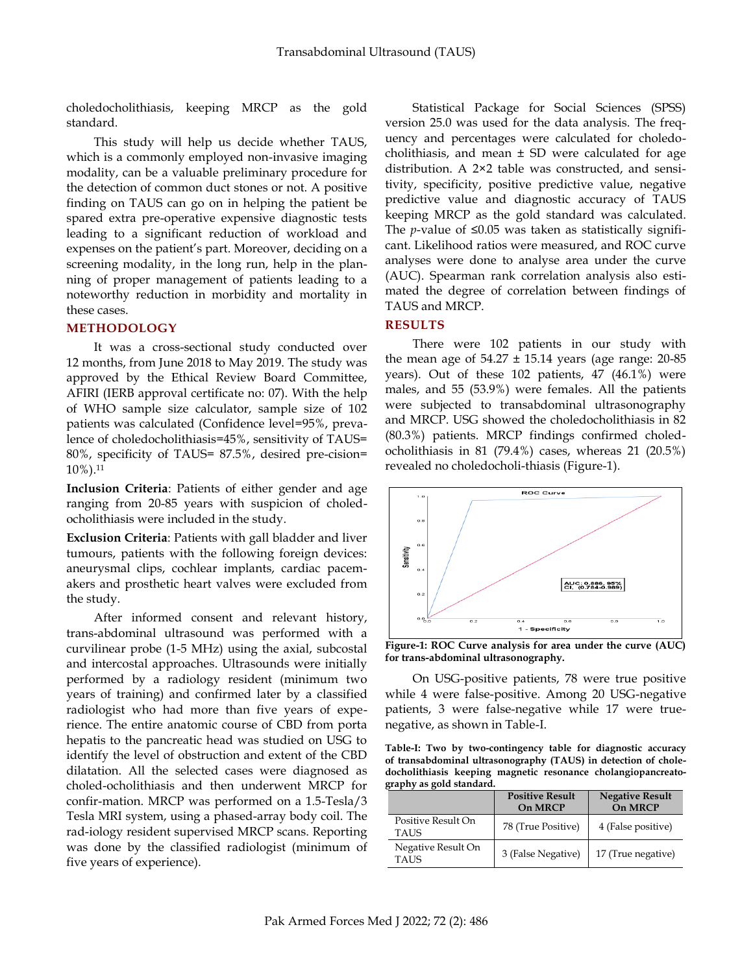choledocholithiasis, keeping MRCP as the gold standard.

This study will help us decide whether TAUS, which is a commonly employed non-invasive imaging modality, can be a valuable preliminary procedure for the detection of common duct stones or not. A positive finding on TAUS can go on in helping the patient be spared extra pre-operative expensive diagnostic tests leading to a significant reduction of workload and expenses on the patient's part. Moreover, deciding on a screening modality, in the long run, help in the planning of proper management of patients leading to a noteworthy reduction in morbidity and mortality in these cases.

### **METHODOLOGY**

It was a cross-sectional study conducted over 12 months, from June 2018 to May 2019. The study was approved by the Ethical Review Board Committee, AFIRI (IERB approval certificate no: 07). With the help of WHO sample size calculator, sample size of 102 patients was calculated (Confidence level=95%, prevalence of choledocholithiasis=45%, sensitivity of TAUS= 80%, specificity of TAUS= 87.5%, desired pre-cision= 10%).<sup>11</sup>

**Inclusion Criteria**: Patients of either gender and age ranging from 20-85 years with suspicion of choledocholithiasis were included in the study.

**Exclusion Criteria**: Patients with gall bladder and liver tumours, patients with the following foreign devices: aneurysmal clips, cochlear implants, cardiac pacemakers and prosthetic heart valves were excluded from the study.

After informed consent and relevant history, trans-abdominal ultrasound was performed with a curvilinear probe (1-5 MHz) using the axial, subcostal and intercostal approaches. Ultrasounds were initially performed by a radiology resident (minimum two years of training) and confirmed later by a classified radiologist who had more than five years of experience. The entire anatomic course of CBD from porta hepatis to the pancreatic head was studied on USG to identify the level of obstruction and extent of the CBD dilatation. All the selected cases were diagnosed as choled-ocholithiasis and then underwent MRCP for confir-mation. MRCP was performed on a 1.5-Tesla/3 Tesla MRI system, using a phased-array body coil. The rad-iology resident supervised MRCP scans. Reporting was done by the classified radiologist (minimum of five years of experience).

Statistical Package for Social Sciences (SPSS) version 25.0 was used for the data analysis. The frequency and percentages were calculated for choledocholithiasis, and mean  $\pm$  SD were calculated for age distribution. A 2×2 table was constructed, and sensitivity, specificity, positive predictive value, negative predictive value and diagnostic accuracy of TAUS keeping MRCP as the gold standard was calculated. The *p*-value of ≤0.05 was taken as statistically significant. Likelihood ratios were measured, and ROC curve analyses were done to analyse area under the curve (AUC). Spearman rank correlation analysis also estimated the degree of correlation between findings of TAUS and MRCP.

## **RESULTS**

There were 102 patients in our study with the mean age of  $54.27 \pm 15.14$  years (age range: 20-85 years). Out of these 102 patients, 47 (46.1%) were males, and 55 (53.9%) were females. All the patients were subjected to transabdominal ultrasonography and MRCP. USG showed the choledocholithiasis in 82 (80.3%) patients. MRCP findings confirmed choledocholithiasis in 81 (79.4%) cases, whereas 21 (20.5%) revealed no choledocholi-thiasis (Figure-1).



**Figure-1: ROC Curve analysis for area under the curve (AUC) for trans-abdominal ultrasonography.**

On USG-positive patients, 78 were true positive while 4 were false-positive. Among 20 USG-negative patients, 3 were false-negative while 17 were truenegative, as shown in Table-I.

**Table-I: Two by two-contingency table for diagnostic accuracy of transabdominal ultrasonography (TAUS) in detection of choledocholithiasis keeping magnetic resonance cholangiopancreatography as gold standard.**

|                                   | <b>Positive Result</b><br>On MRCP | <b>Negative Result</b><br>On MRCP |
|-----------------------------------|-----------------------------------|-----------------------------------|
| Positive Result On<br><b>TAUS</b> | 78 (True Positive)                | 4 (False positive)                |
| Negative Result On<br><b>TAUS</b> | 3 (False Negative)                | 17 (True negative)                |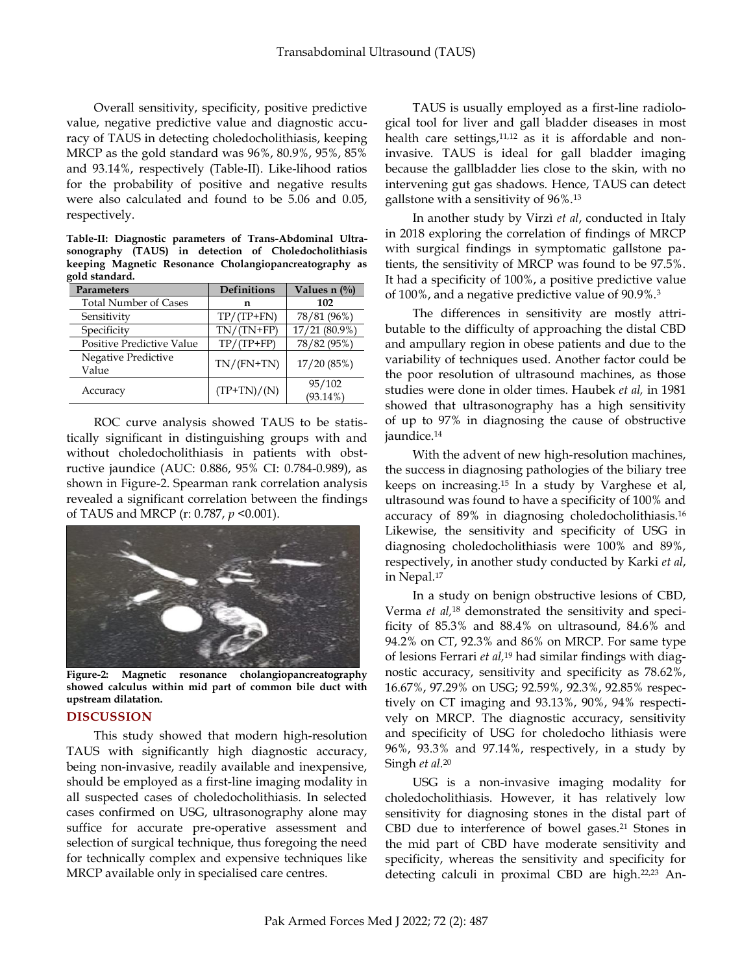Overall sensitivity, specificity, positive predictive value, negative predictive value and diagnostic accuracy of TAUS in detecting choledocholithiasis, keeping MRCP as the gold standard was 96%, 80.9%, 95%, 85% and 93.14%, respectively (Table-II). Like-lihood ratios for the probability of positive and negative results were also calculated and found to be 5.06 and 0.05, respectively.

**Table-II: Diagnostic parameters of Trans-Abdominal Ultrasonography (TAUS) in detection of Choledocholithiasis keeping Magnetic Resonance Cholangiopancreatography as gold standard.**

| <b>Parameters</b>            | <b>Definitions</b> | Values n $(\%)$       |
|------------------------------|--------------------|-----------------------|
| <b>Total Number of Cases</b> | n                  | 102                   |
| Sensitivity                  | $TP/(TP+FN)$       | 78/81 (96%)           |
| Specificity                  | $TN/(TN+FP)$       | 17/21 (80.9%)         |
| Positive Predictive Value    | $TP/(TP+FP)$       | 78/82 (95%)           |
| Negative Predictive<br>Value | $TN/(FN+TN)$       | 17/20(85%)            |
| Accuracy                     | $(TP+TN)/(N)$      | 95/102<br>$(93.14\%)$ |

ROC curve analysis showed TAUS to be statistically significant in distinguishing groups with and without choledocholithiasis in patients with obstructive jaundice (AUC: 0.886, 95% CI: 0.784-0.989), as shown in Figure-2. Spearman rank correlation analysis revealed a significant correlation between the findings of TAUS and MRCP (r: 0.787, *p* <0.001).



**Figure-2: Magnetic resonance cholangiopancreatography showed calculus within mid part of common bile duct with upstream dilatation.**

## **DISCUSSION**

This study showed that modern high-resolution TAUS with significantly high diagnostic accuracy, being non-invasive, readily available and inexpensive, should be employed as a first-line imaging modality in all suspected cases of choledocholithiasis. In selected cases confirmed on USG, ultrasonography alone may suffice for accurate pre-operative assessment and selection of surgical technique, thus foregoing the need for technically complex and expensive techniques like MRCP available only in specialised care centres.

TAUS is usually employed as a first-line radiological tool for liver and gall bladder diseases in most health care settings,<sup>11,12</sup> as it is affordable and noninvasive. TAUS is ideal for gall bladder imaging because the gallbladder lies close to the skin, with no intervening gut gas shadows. Hence, TAUS can detect gallstone with a sensitivity of 96%.<sup>13</sup>

In another study by Virzì *et al*, conducted in Italy in 2018 exploring the correlation of findings of MRCP with surgical findings in symptomatic gallstone patients, the sensitivity of MRCP was found to be 97.5%. It had a specificity of 100%, a positive predictive value of 100%, and a negative predictive value of 90.9%.<sup>3</sup>

The differences in sensitivity are mostly attributable to the difficulty of approaching the distal CBD and ampullary region in obese patients and due to the variability of techniques used. Another factor could be the poor resolution of ultrasound machines, as those studies were done in older times. Haubek *et al,* in 1981 showed that ultrasonography has a high sensitivity of up to 97% in diagnosing the cause of obstructive jaundice. 14

With the advent of new high-resolution machines, the success in diagnosing pathologies of the biliary tree keeps on increasing.<sup>15</sup> In a study by Varghese et al, ultrasound was found to have a specificity of 100% and accuracy of 89% in diagnosing choledocholithiasis.<sup>16</sup> Likewise, the sensitivity and specificity of USG in diagnosing choledocholithiasis were 100% and 89%, respectively, in another study conducted by Karki *et al*, in Nepal. 17

In a study on benign obstructive lesions of CBD, Verma *et al,*<sup>18</sup> demonstrated the sensitivity and specificity of 85.3% and 88.4% on ultrasound, 84.6% and 94.2% on CT, 92.3% and 86% on MRCP. For same type of lesions Ferrari *et al,* <sup>19</sup> had similar findings with diagnostic accuracy, sensitivity and specificity as 78.62%, 16.67%, 97.29% on USG; 92.59%, 92.3%, 92.85% respectively on CT imaging and 93.13%, 90%, 94% respectively on MRCP. The diagnostic accuracy, sensitivity and specificity of USG for choledocho lithiasis were 96%, 93.3% and 97.14%, respectively, in a study by Singh *et al.*<sup>20</sup>

USG is a non-invasive imaging modality for choledocholithiasis. However, it has relatively low sensitivity for diagnosing stones in the distal part of CBD due to interference of bowel gases.<sup>21</sup> Stones in the mid part of CBD have moderate sensitivity and specificity, whereas the sensitivity and specificity for detecting calculi in proximal CBD are high. 22,23 An